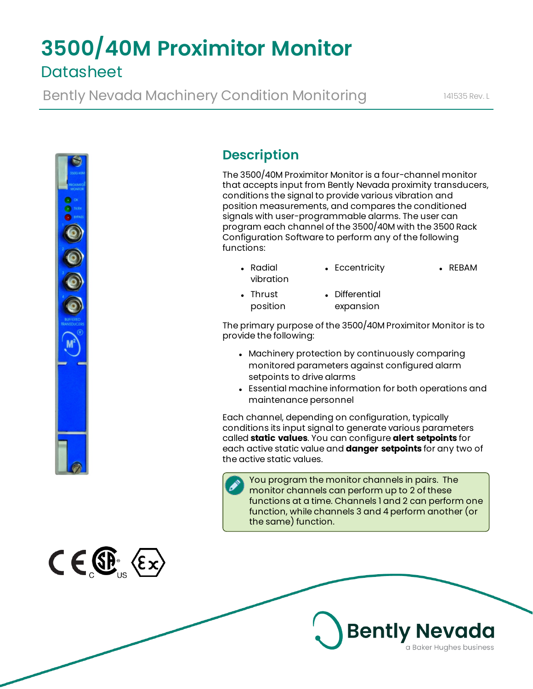# **3500/40M Proximitor Monitor Datasheet**

Bently Nevada Machinery Condition Monitoring 141535 Rev. L



 $C \in \mathbb{G}$   $\langle \epsilon \times \rangle$ 

# **Description**

The 3500/40M Proximitor Monitor is a four-channel monitor that accepts input from Bently Nevada proximity transducers, conditions the signal to provide various vibration and position measurements, and compares the conditioned signals with user-programmable alarms. The user can program each channel of the 3500/40M with the 3500 Rack Configuration Software to perform any of the following functions:

- Radial vibration • Eccentricity • REBAM
- $\blacksquare$  Thrust position • Differential expansion

The primary purpose of the 3500/40M Proximitor Monitor is to provide the following:

- Machinery protection by continuously comparing monitored parameters against configured alarm setpoints to drive alarms
- Essential machine information for both operations and maintenance personnel

Each channel, depending on configuration, typically conditions its input signal to generate various parameters called **static values**. You can configure **alert setpoints** for each active static value and **danger setpoints** for any two of the active static values.

You program the monitor channels in pairs. The monitor channels can perform up to 2 of these functions at a time. Channels 1 and 2 can perform one function, while channels 3 and 4 perform another (or the same) function.

**Bently Nevada** 

a Baker Hughes business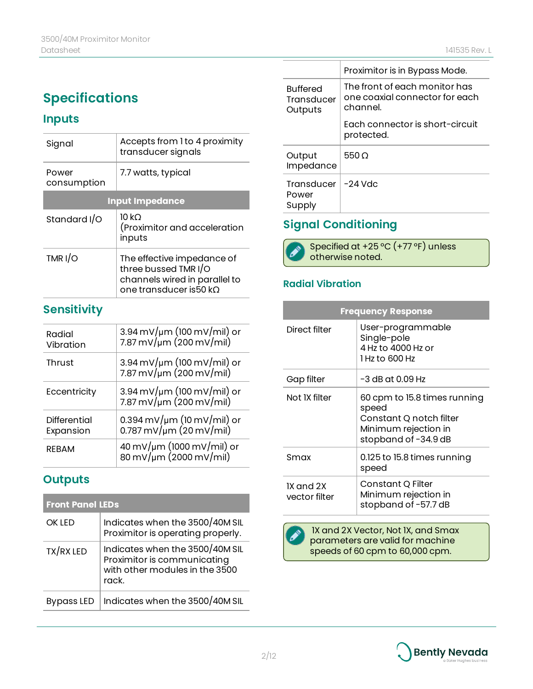# **Specifications**

## **Inputs**

| Signal                 | Accepts from 1 to 4 proximity<br>transducer signals                                                           |  |
|------------------------|---------------------------------------------------------------------------------------------------------------|--|
| Power<br>consumption   | 7.7 watts, typical                                                                                            |  |
| <b>Input Impedance</b> |                                                                                                               |  |
| Standard I/O           | 10 kO<br>(Proximitor and acceleration<br>inputs                                                               |  |
| TMR I/O                | The effective impedance of<br>three bussed TMR I/O<br>channels wired in parallel to<br>one transducer is50 kO |  |

## **Sensitivity**

| Radial<br>Vibration       | $3.94 \,\mathrm{mV/m}$ (100 mV/mil) or<br>7.87 mV/um (200 mV/mil)              |
|---------------------------|--------------------------------------------------------------------------------|
| Thrust                    | $3.94 \,\mathrm{mV/m}$ (100 mV/mil) or<br>$7.87 \,\mathrm{mV/m}$ (200 mV/mil)  |
| Eccentricity              | $3.94 \,\mathrm{mV/m}$ (100 mV/mil) or<br>$7.87 \,\mathrm{mV/m}$ (200 mV/mil)  |
| Differential<br>Expansion | 0.394 mV/µm (10 mV/mil) or<br>$0.787 \,\mathrm{mV}/\mathrm{\mu m}$ (20 mV/mil) |
| <b>RFBAM</b>              | 40 mV/µm (1000 mV/mil) or<br>$80 \,\mathrm{mV/m}$ (2000 mV/mil)                |

## **Outputs**

| <b>Front Panel LEDs</b> |                                                                                                           |
|-------------------------|-----------------------------------------------------------------------------------------------------------|
| <b>OK IFD</b>           | Indicates when the 3500/40M SIL<br>Proximitor is operating properly.                                      |
| TX/RX LED               | Indicates when the 3500/40M SIL<br>Proximitor is communicating<br>with other modules in the 3500<br>rack. |
| <b>Bypass LED</b>       | Indicates when the 3500/40M SIL                                                                           |

|                                          | Proximitor is in Bypass Mode.                                               |
|------------------------------------------|-----------------------------------------------------------------------------|
| <b>Buffered</b><br>Transducer<br>Outputs | The front of each monitor has<br>one coaxial connector for each<br>channel. |
|                                          | Fach connector is short-circuit<br>protected.                               |
| Output<br>Impedance                      | 550 O                                                                       |
| Transducer<br>Power<br>Supply            | $-24$ Vdc                                                                   |

## **Signal Conditioning**



## **Radial Vibration**

| <b>Frequency Response</b>  |                                                                                                                  |  |
|----------------------------|------------------------------------------------------------------------------------------------------------------|--|
| Direct filter              | User-programmable<br>Single-pole<br>4 Hz to 4000 Hz or<br>1 Hz to 600 Hz                                         |  |
| Gap filter                 | -3 dB at 0.09 Hz                                                                                                 |  |
| Not IX filter              | 60 cpm to 15.8 times running<br>speed<br>Constant Q notch filter<br>Minimum rejection in<br>stopband of -34.9 dB |  |
| Smax                       | 0.125 to 15.8 times running<br>speed                                                                             |  |
| IX and 2X<br>vector filter | Constant Q Filter<br>Minimum rejection in<br>stopband of -57.7 dB                                                |  |

 1X and 2X Vector, Not 1X, and Smax parameters are valid for machine speeds of 60 cpm to 60,000 cpm.

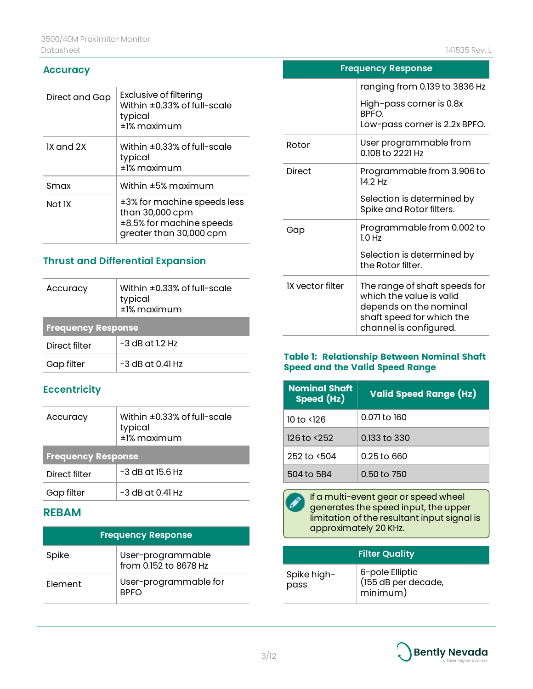#### **Accuracy**

| Direct and Gap | Exclusive of filtering<br>Within ±0.33% of full-scale<br>typical<br>±1% maximum                       |
|----------------|-------------------------------------------------------------------------------------------------------|
| IX and 2X      | Within $\pm 0.33\%$ of full-scale<br>typical<br>±1% maximum                                           |
| Smax           | Within ±5% maximum                                                                                    |
| Not IX         | ±3% for machine speeds less<br>than 30,000 cpm<br>±8.5% for machine speeds<br>greater than 30,000 cpm |

### **Thrust and Differential Expansion**

| Accuracy                  | Within $\pm 0.33\%$ of full-scale<br>typical<br>±1% maximum |  |
|---------------------------|-------------------------------------------------------------|--|
| <b>Frequency Response</b> |                                                             |  |
| Direct filter             | $-3$ dB at 1.2 Hz                                           |  |
| Gap filter                | -3 dB at 0.41 Hz                                            |  |

### **Eccentricity**

| Accuracy                  | Within $\pm 0.33\%$ of full-scale<br>typical<br>±1% maximum |  |
|---------------------------|-------------------------------------------------------------|--|
| <b>Frequency Response</b> |                                                             |  |
| Direct filter             | $-3$ dB at 15.6 Hz                                          |  |
| Gap filter                | $-3$ dB at 0.41 Hz                                          |  |

## **REBAM**

| <b>Frequency Response</b> |                                            |
|---------------------------|--------------------------------------------|
| Spike                     | User-programmable<br>from 0.152 to 8678 Hz |
| Flement                   | User-programmable for<br><b>BPFO</b>       |

| <b>Frequency Response</b> |                                                                                                                                            |  |
|---------------------------|--------------------------------------------------------------------------------------------------------------------------------------------|--|
|                           | ranging from 0.139 to 3836 Hz                                                                                                              |  |
|                           | High-pass corner is 0.8x<br>BPFO.<br>Low-pass corner is 2.2x BPFO.                                                                         |  |
| Rotor                     | User programmable from<br>0.108 to 2221 Hz                                                                                                 |  |
| <b>Direct</b>             | Programmable from 3.906 to<br>14 2 Hz                                                                                                      |  |
|                           | Selection is determined by<br>Spike and Rotor filters.                                                                                     |  |
| Gap                       | Programmable from 0.002 to<br>1.0 Hz                                                                                                       |  |
|                           | Selection is determined by<br>the Rotor filter.                                                                                            |  |
| <b>IX vector filter</b>   | The range of shaft speeds for<br>which the value is valid<br>depends on the nominal<br>shaft speed for which the<br>channel is configured. |  |

#### **Table 1: Relationship Between Nominal Shaft Speed and the Valid Speed Range**

| <b>Nominal Shaft</b><br>Speed (Hz) | <b>Valid Speed Range (Hz)</b> |
|------------------------------------|-------------------------------|
| 10 to <126                         | 0.071 to 160                  |
| 126 to <252                        | 0.133 to 330                  |
| 252 to <504                        | 0.25 to 660                   |
| 504 to 584                         | 0.50 to 750                   |



If a multi-event gear or speed wheel generates the speed input, the upper limitation of the resultant input signal is approximately 20 KHz.

|                     | <b>Filter Quality</b>                              |
|---------------------|----------------------------------------------------|
| Spike high-<br>pass | 6-pole Elliptic<br>(155 dB per decade,<br>minimum) |

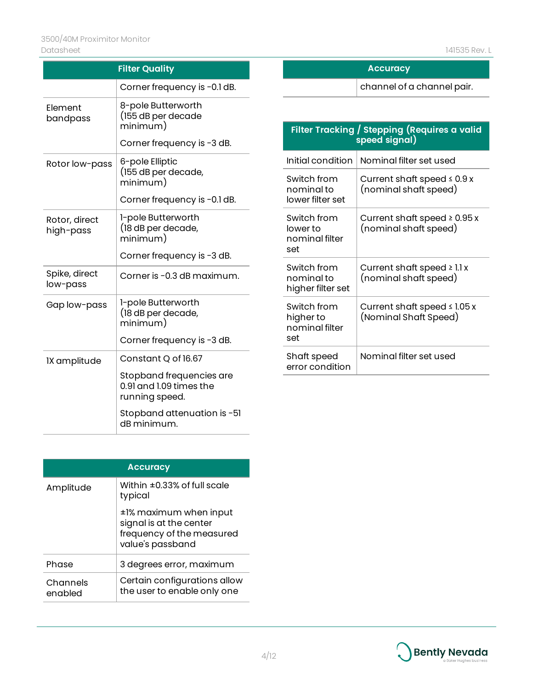| <b>Filter Quality</b>      |                                                                       |
|----------------------------|-----------------------------------------------------------------------|
|                            | Corner frequency is -0.1 dB.                                          |
| Element<br>bandpass        | 8-pole Butterworth<br>(155 dB per decade<br>minimum)                  |
|                            | Corner frequency is -3 dB.                                            |
| Rotor low-pass             | 6-pole Elliptic<br>(155 dB per decade,<br>minimum)                    |
|                            | Corner frequency is -0.1 dB.                                          |
| Rotor, direct<br>high-pass | 1-pole Butterworth<br>(18 dB per decade,<br>minimum)                  |
|                            | Corner frequency is -3 dB.                                            |
| Spike, direct<br>low-pass  | Corner is -0.3 dB maximum.                                            |
| Gap low-pass               | 1-pole Butterworth<br>(18 dB per decade,<br>minimum)                  |
|                            | Corner frequency is -3 dB.                                            |
| IX amplitude               | Constant Q of 16.67                                                   |
|                            | Stopband frequencies are<br>0.91 and 1.09 times the<br>running speed. |
|                            | Stopband attenuation is -51<br>dB minimum.                            |

| <b>Accuracy</b>     |                                                                                                    |
|---------------------|----------------------------------------------------------------------------------------------------|
| Amplitude           | Within $\pm 0.33\%$ of full scale<br>typical                                                       |
|                     | ±1% maximum when input<br>signal is at the center<br>frequency of the measured<br>value's passband |
| Phase               | 3 degrees error, maximum                                                                           |
| Channels<br>enabled | Certain configurations allow<br>the user to enable only one                                        |

|                                                  | channel of a channel pair.                                    |
|--------------------------------------------------|---------------------------------------------------------------|
|                                                  |                                                               |
|                                                  | Filter Tracking / Stepping (Requires a valid<br>speed signal) |
| Initial condition                                | Nominal filter set used                                       |
| Switch from<br>nominal to<br>lower filter set    | Current shaft speed $\leq 0.9 x$<br>(nominal shaft speed)     |
| Switch from<br>lower to<br>nominal filter<br>set | Current shaft speed $\geq 0.95x$<br>(nominal shaft speed)     |
| Switch from<br>nominal to<br>higher filter set   | Current shaft speed $\geq$ 1.1 x<br>(nominal shaft speed)     |

Current shaft speed ≤ 1.05 x (Nominal Shaft Speed)

Nominal filter set used

**Accuracy**

|  | Bently Nevada           |
|--|-------------------------|
|  | a Baker Hughes business |

set

Switch from higher to nominal filter

Shaft speed error condition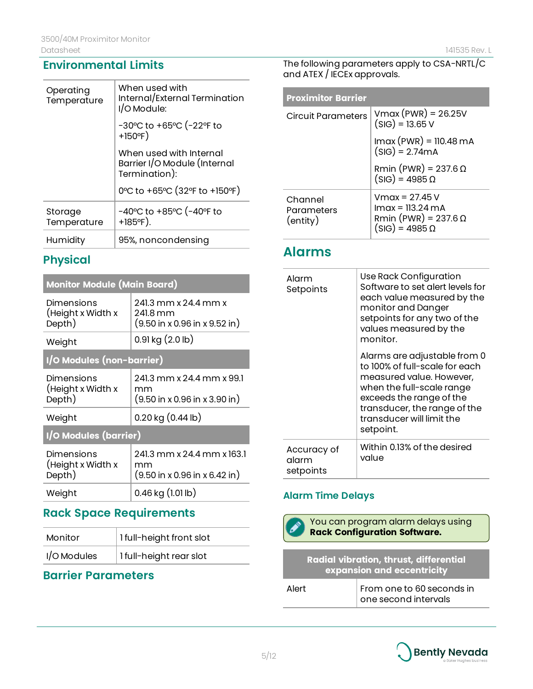| Operating<br>Temperature | When used with<br>Internal/External Termination<br>I/O Module:           |
|--------------------------|--------------------------------------------------------------------------|
|                          | -30°C to +65°C (-22°F to<br>$+150^{\circ}F$                              |
|                          | When used with Internal<br>Barrier I/O Module (Internal<br>Termination): |
|                          | 0°C to +65°C (32°F to +150°F)                                            |
| Storage<br>Temperature   | -40°C to +85°C (-40°F to<br>$+185^{\circ}F$ ).                           |
| Humidity                 | 95%, noncondensing                                                       |

## **Physical**

## **Monitor Module (Main Board)**

| Dimensions<br>(Height x Width x<br>Depth) | 241.3 mm x 24.4 mm x<br>241.8 mm<br>$(9.50 \text{ in } x 0.96 \text{ in } x 9.52 \text{ in})$ |  |
|-------------------------------------------|-----------------------------------------------------------------------------------------------|--|
| Weight                                    | $0.91$ kg $(2.0$ lb)                                                                          |  |
| I/O Modules (non-barrier)                 |                                                                                               |  |
| Dimensions<br>(Height x Width x<br>Depth) | 241.3 mm x 24.4 mm x 99.1<br>mm<br>$(9.50 \text{ in } x 0.96 \text{ in } x 3.90 \text{ in})$  |  |
| Weight                                    | $0.20$ kg $(0.44$ lb)                                                                         |  |
| I/O Modules (barrier)                     |                                                                                               |  |
| Dimensions<br>(Height x Width x<br>Depth) | 241.3 mm x 24.4 mm x 163.1<br>mm<br>$(9.50 \text{ in } x 0.96 \text{ in } x 6.42 \text{ in})$ |  |
| Weight                                    | 0.46 kg (1.01 lb)                                                                             |  |

## **Rack Space Requirements**

| Monitor     | 1 full-height front slot |
|-------------|--------------------------|
| I/O Modules | I full-height rear slot  |

# **Barrier Parameters**

The following parameters apply to CSA-NRTL/C and ATEX / IECEx approvals.

| <b>Proximitor Barrier</b>         |                                                                                              |
|-----------------------------------|----------------------------------------------------------------------------------------------|
| Circuit Parameters                | $V$ max (PWR) = 26.25V<br>$(SIG) = 13.65 V$                                                  |
|                                   | $Imax (PWR) = 110.48 mA$<br>$(SIG) = 2.74mA$                                                 |
|                                   | Rmin (PWR) = $237.6 \Omega$<br>$(SIG) = 4985 \Omega$                                         |
| Channel<br>Parameters<br>(entity) | Vmax = 27.45 V<br>$lmax = 113.24 mA$<br>Rmin (PWR) = $237.6 \Omega$<br>$(SIG) = 4985 \Omega$ |

# **Alarms**

| Alarm<br>Setpoints                | Use Rack Configuration<br>Software to set alert levels for<br>each value measured by the<br>monitor and Danger<br>setpoints for any two of the<br>values measured by the<br>monitor.                                          |
|-----------------------------------|-------------------------------------------------------------------------------------------------------------------------------------------------------------------------------------------------------------------------------|
|                                   | Alarms are adjustable from 0<br>to 100% of full-scale for each<br>measured value. However,<br>when the full-scale range<br>exceeds the range of the<br>transducer, the range of the<br>transducer will limit the<br>setpoint. |
| Accuracy of<br>alarm<br>setpoints | Within 0.13% of the desired<br>value                                                                                                                                                                                          |

## **Alarm Time Delays**



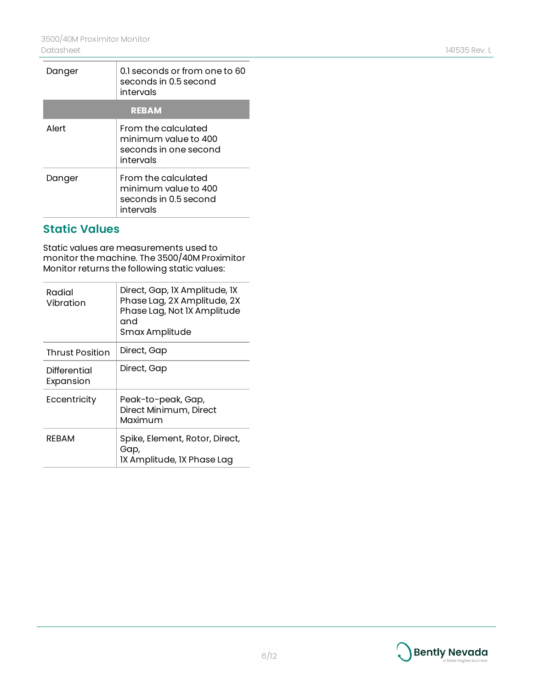| Danger       | 0.1 seconds or from one to 60<br>seconds in 0.5 second<br>intervals               |  |
|--------------|-----------------------------------------------------------------------------------|--|
| <b>REBAM</b> |                                                                                   |  |
| Alert        | From the calculated<br>minimum value to 400<br>seconds in one second<br>intervals |  |
| Danger       | From the calculated<br>minimum value to 400<br>seconds in 0.5 second<br>intervals |  |

## **Static Values**

Static values are measurements used to monitor the machine. The 3500/40M Proximitor Monitor returns the following static values:

| Radial<br>Vibration       | Direct, Gap, IX Amplitude, IX<br>Phase Lag, 2X Amplitude, 2X<br>Phase Lag, Not IX Amplitude<br>and<br>Smax Amplitude |
|---------------------------|----------------------------------------------------------------------------------------------------------------------|
| <b>Thrust Position</b>    | Direct, Gap                                                                                                          |
| Differential<br>Expansion | Direct, Gap                                                                                                          |
| Eccentricity              | Peak-to-peak, Gap,<br>Direct Minimum, Direct<br>Maximum                                                              |
| REBAM                     | Spike, Element, Rotor, Direct,<br>Gap,<br>IX Amplitude, IX Phase Lag                                                 |

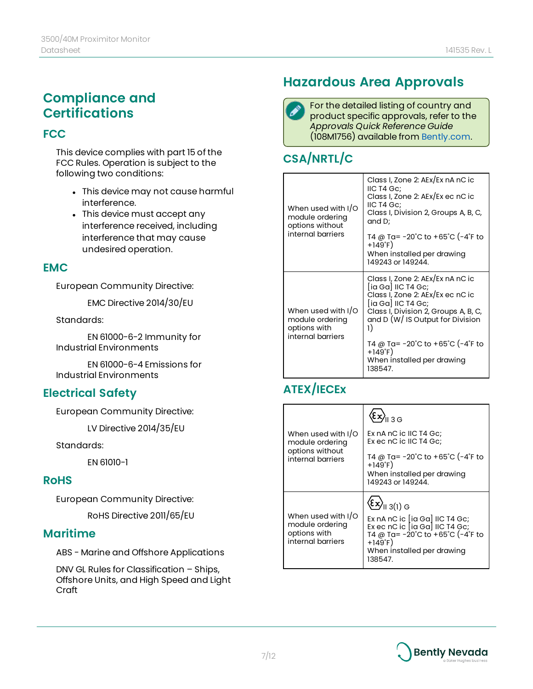# **Compliance and Certifications**

### **FCC**

This device complies with part 15 of the FCC Rules. Operation is subject to the following two conditions:

- This device may not cause harmful interference.
- This device must accept any interference received, including interference that may cause undesired operation.

#### **EMC**

European Community Directive:

EMC Directive 2014/30/EU

#### Standards:

EN 61000-6-2 Immunity for Industrial Environments

EN 61000-6-4 Emissions for Industrial Environments

## **Electrical Safety**

European Community Directive:

LV Directive 2014/35/EU

Standards:

EN 61010-1

#### **RoHS**

European Community Directive:

RoHS Directive 2011/65/EU

#### **Maritime**

ABS - Marine and Offshore Applications

DNV GL Rules for Classification – Ships, Offshore Units, and High Speed and Light Craft

# **Hazardous Area Approvals**

For the detailed listing of country and product specific approvals, refer to the *Approvals Quick Reference Guide* (108M1756) available from [Bently.com.](http://www.bently.com/)

# **CSA/NRTL/C**

|  | When used with I/O<br>module ordering<br>options without                   | Class I, Zone 2: AEx/Ex nA nC ic<br>IIC T4 Gc:<br>Class I, Zone 2: AEx/Ex ec nC ic<br>IIC T4 Gc;<br>Class I, Division 2, Groups A, B, C,<br>and D;                                                 |
|--|----------------------------------------------------------------------------|----------------------------------------------------------------------------------------------------------------------------------------------------------------------------------------------------|
|  | internal barriers                                                          | T4 @ Ta= −20˚C to +65˚C (−4˚F to<br>$+149^{\circ}F$<br>When installed per drawing<br>149243 or 149244.                                                                                             |
|  | When used with I/O<br>module ordering<br>options with<br>internal barriers | Class I, Zone 2: AEx/Ex nA nC ic<br>[ia Ga] IIC T4 Gc;<br>Class I, Zone 2: AEx/Ex ec nC ic<br>[ia Ga] IIC T4 Gc;<br>Class I, Division 2, Groups A, B, C,<br>and D (W/ IS Output for Division<br>1) |
|  |                                                                            | T4 @ Ta= -20°C to +65°C (-4°F to<br>$+149^{\circ}F$<br>When installed per drawing<br>138547.                                                                                                       |

# **ATEX/IECEx**

|                                                                               | $\left\langle \epsilon x\right\rangle_{\shortparallel\,3\,\text{G}}$                                                                                                                                                      |
|-------------------------------------------------------------------------------|---------------------------------------------------------------------------------------------------------------------------------------------------------------------------------------------------------------------------|
| When used with I/O<br>module ordering<br>options without<br>internal barriers | Ex nA nC ic IIC T4 Gc;<br>Ex ec nC ic IIC T4 Gc;                                                                                                                                                                          |
|                                                                               | T4 @ Ta= -20°C to +65°C (-4°F to<br>$+149^{\circ}F)$<br>When installed per drawing<br>149243 or 149244.                                                                                                                   |
| When used with I/O<br>module ordering<br>options with<br>internal barriers    | $\left\langle \Sigma \right\rangle_{  \,3(1)\,G}$<br>Ex nA nC ic [ia Ga] IIC T4 Gc;<br>Ex ec nC ic $[ia Ga]$ IIC T4 Gc;<br>T4 @ Ta= -20°C to +65°C (-4°F to<br>$+149^{\circ}$ F)<br>When installed per drawing<br>138547. |

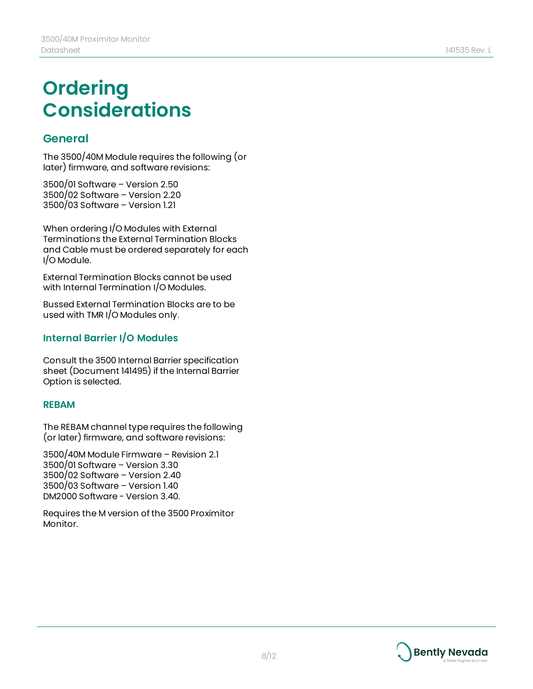# **Ordering Considerations**

## **General**

The 3500/40M Module requires the following (or later) firmware, and software revisions:

3500/01 Software – Version 2.50 3500/02 Software – Version 2.20 3500/03 Software – Version 1.21

When ordering I/O Modules with External Terminations the External Termination Blocks and Cable must be ordered separately for each I/O Module.

External Termination Blocks cannot be used with Internal Termination I/O Modules.

Bussed External Termination Blocks are to be used with TMR I/O Modules only.

## **Internal Barrier I/O Modules**

Consult the 3500 Internal Barrier specification sheet (Document 141495) if the Internal Barrier Option is selected.

#### **REBAM**

The REBAM channel type requires the following (or later) firmware, and software revisions:

3500/40M Module Firmware – Revision 2.1 3500/01 Software – Version 3.30 3500/02 Software – Version 2.40 3500/03 Software – Version 1.40 DM2000 Software - Version 3.40.

Requires the M version of the 3500 Proximitor Monitor.

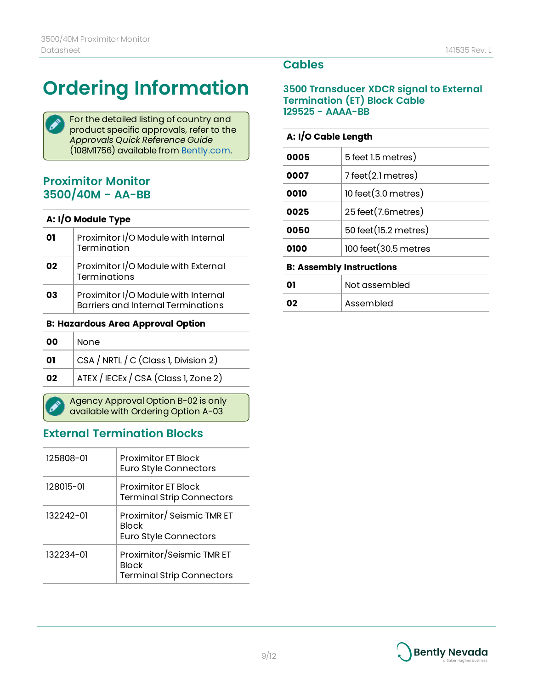# **Ordering Information**

For the detailed listing of country and product specific approvals, refer to the *Approvals Quick Reference Guide* (108M1756) available from [Bently.com.](http://www.bently.com/)

## **Proximitor Monitor 3500/40M - AA-BB**

#### **A: I/O Module Type**

| 01 | Proximitor I/O Module with Internal<br>Termination                               |
|----|----------------------------------------------------------------------------------|
| 02 | Proximitor I/O Module with External<br><b>Terminations</b>                       |
| 03 | Proximitor I/O Module with Internal<br><b>Barriers and Internal Terminations</b> |

#### **B: Hazardous Area Approval Option**

| 00 | <b>None</b>                          |  |
|----|--------------------------------------|--|
| 01 | CSA / NRTL / C (Class 1, Division 2) |  |
| 02 | ATEX / IECEx / CSA (Class 1, Zone 2) |  |
|    |                                      |  |

Agency Approval Option B-02 is only available with Ordering Option A-03

## **External Termination Blocks**

| 125808-01     | <b>Proximitor FT Block</b><br>Euro Style Connectors                           |
|---------------|-------------------------------------------------------------------------------|
| 128015-01     | <b>Proximitor ET Block</b><br><b>Terminal Strip Connectors</b>                |
| $132242 - 01$ | Proximitor/Seismic TMR ET<br><b>Block</b><br><b>Euro Style Connectors</b>     |
| 132234-01     | Proximitor/Seismic TMR ET<br><b>Block</b><br><b>Terminal Strip Connectors</b> |

## **Cables**

#### **3500 Transducer XDCR signal to External Termination (ET) Block Cable 129525 - AAAA-BB**

#### **A: I/O Cable Length**

**02** Assembled

| 0005                            | 5 feet 1.5 metres)               |  |
|---------------------------------|----------------------------------|--|
| 0007                            | $7$ feet $(2.1$ metres)          |  |
| 0010                            | $10$ feet $(3.0 \text{ metres})$ |  |
| 0025                            | 25 feet (7.6 metres)             |  |
| 0050                            | 50 feet (15.2 metres)            |  |
| 0100                            | 100 feet (30.5 metres            |  |
| <b>B: Assembly Instructions</b> |                                  |  |
|                                 | Not assembled                    |  |
|                                 |                                  |  |

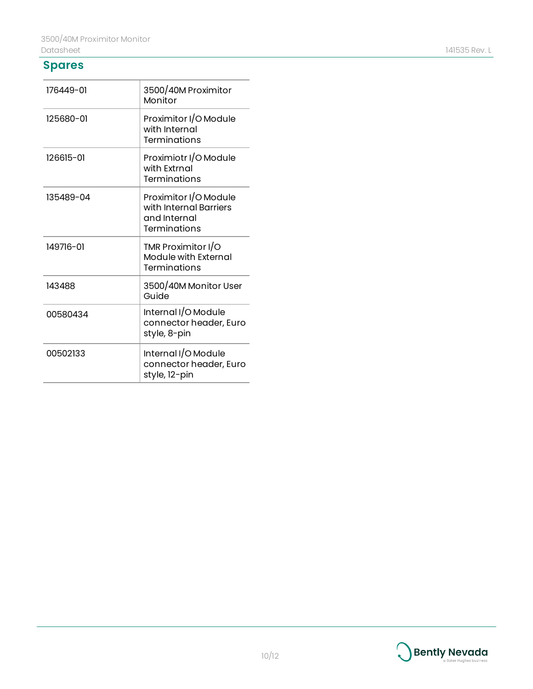## **Spares**

| 176449-01 | 3500/40M Proximitor<br>Monitor                                                  |
|-----------|---------------------------------------------------------------------------------|
| 125680-01 | Proximitor I/O Module<br>with Internal<br>Terminations                          |
| 126615-01 | Proximiotr I/O Module<br>with Extrnal<br>Terminations                           |
| 135489-04 | Proximitor I/O Module<br>with Internal Barriers<br>and Internal<br>Terminations |
| 149716-01 | TMR Proximitor I/O<br>Module with External<br>Terminations                      |
| 143488    | 3500/40M Monitor User<br>Guide                                                  |
| 00580434  | Internal I/O Module<br>connector header, Euro<br>style, 8-pin                   |
| 00502133  | Internal I/O Module<br>connector header, Euro<br>style, 12-pin                  |



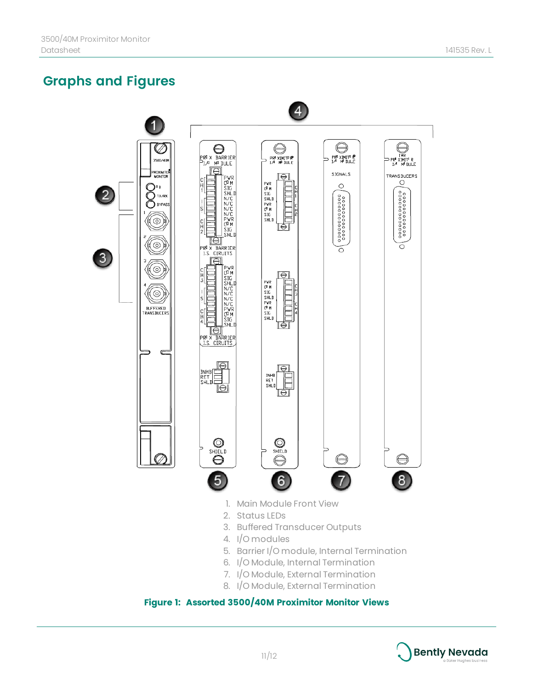# **Graphs and Figures**



#### **Figure 1: Assorted 3500/40M Proximitor Monitor Views**